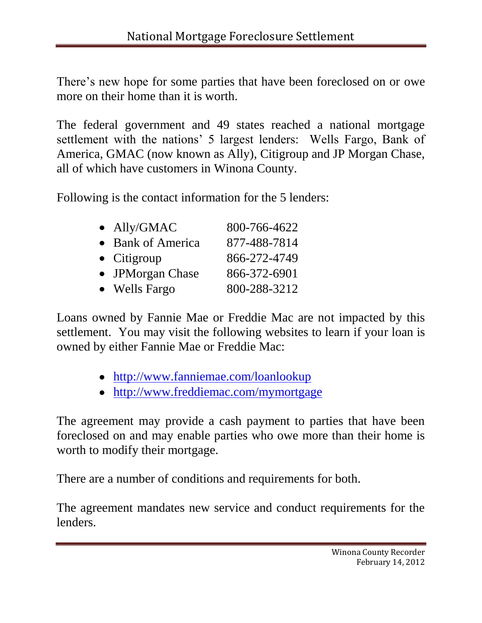There's new hope for some parties that have been foreclosed on or owe more on their home than it is worth.

The federal government and 49 states reached a national mortgage settlement with the nations' 5 largest lenders: Wells Fargo, Bank of America, GMAC (now known as Ally), Citigroup and JP Morgan Chase, all of which have customers in Winona County.

Following is the contact information for the 5 lenders:

| $\bullet$ Ally/GMAC | 800-766-4622 |
|---------------------|--------------|
| • Bank of America   | 877-488-7814 |
| $\bullet$ Citigroup | 866-272-4749 |
| • JPMorgan Chase    | 866-372-6901 |
| • Wells Fargo       | 800-288-3212 |

Loans owned by Fannie Mae or Freddie Mac are not impacted by this settlement. You may visit the following websites to learn if your loan is owned by either Fannie Mae or Freddie Mac:

- <http://www.fanniemae.com/loanlookup>
- <http://www.freddiemac.com/mymortgage>

The agreement may provide a cash payment to parties that have been foreclosed on and may enable parties who owe more than their home is worth to modify their mortgage.

There are a number of conditions and requirements for both.

The agreement mandates new service and conduct requirements for the lenders.